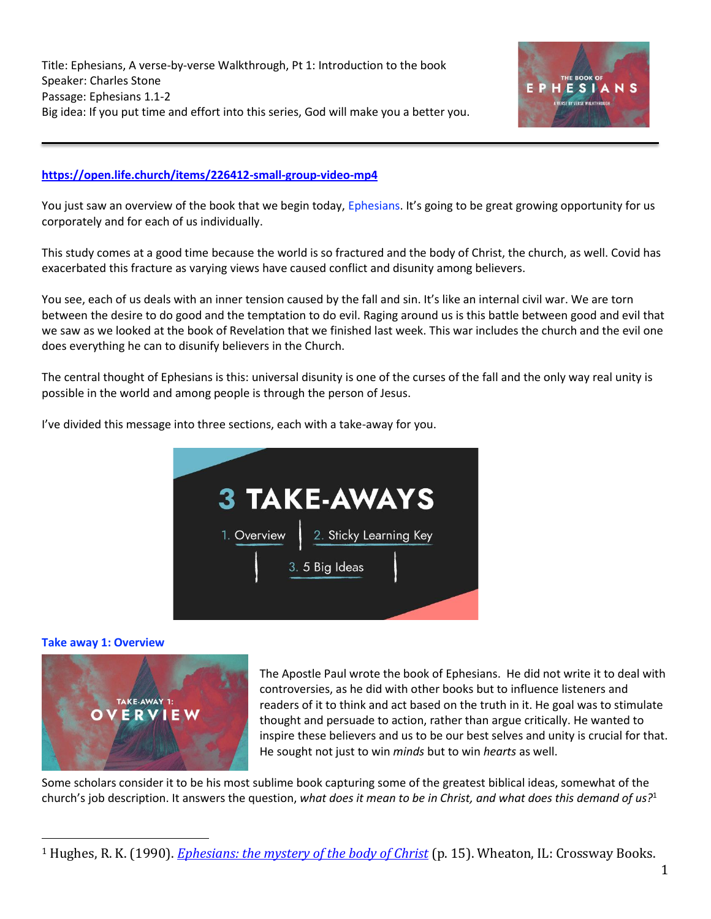

# **<https://open.life.church/items/226412-small-group-video-mp4>**

You just saw an overview of the book that we begin today, Ephesians. It's going to be great growing opportunity for us corporately and for each of us individually.

This study comes at a good time because the world is so fractured and the body of Christ, the church, as well. Covid has exacerbated this fracture as varying views have caused conflict and disunity among believers.

You see, each of us deals with an inner tension caused by the fall and sin. It's like an internal civil war. We are torn between the desire to do good and the temptation to do evil. Raging around us is this battle between good and evil that we saw as we looked at the book of Revelation that we finished last week. This war includes the church and the evil one does everything he can to disunify believers in the Church.

The central thought of Ephesians is this: universal disunity is one of the curses of the fall and the only way real unity is possible in the world and among people is through the person of Jesus.

I've divided this message into three sections, each with a take-away for you.



## **Take away 1: Overview**



The Apostle Paul wrote the book of Ephesians. He did not write it to deal with controversies, as he did with other books but to influence listeners and readers of it to think and act based on the truth in it. He goal was to stimulate thought and persuade to action, rather than argue critically. He wanted to inspire these believers and us to be our best selves and unity is crucial for that. He sought not just to win *minds* but to win *hearts* as well.

Some scholars consider it to be his most sublime book capturing some of the greatest biblical ideas, somewhat of the church's job description. It answers the question, *what does it mean to be in Christ, and what does this demand of us?*<sup>1</sup>

<sup>1</sup> Hughes, R. K. (1990). *[Ephesians: the mystery of the body of Christ](https://ref.ly/logosres/prwdeph?ref=Bible.Eph1.1&off=1489&ctx=ng+God%E2%80%99s+new+order.+~It+answers+the+quest)* (p. 15). Wheaton, IL: Crossway Books.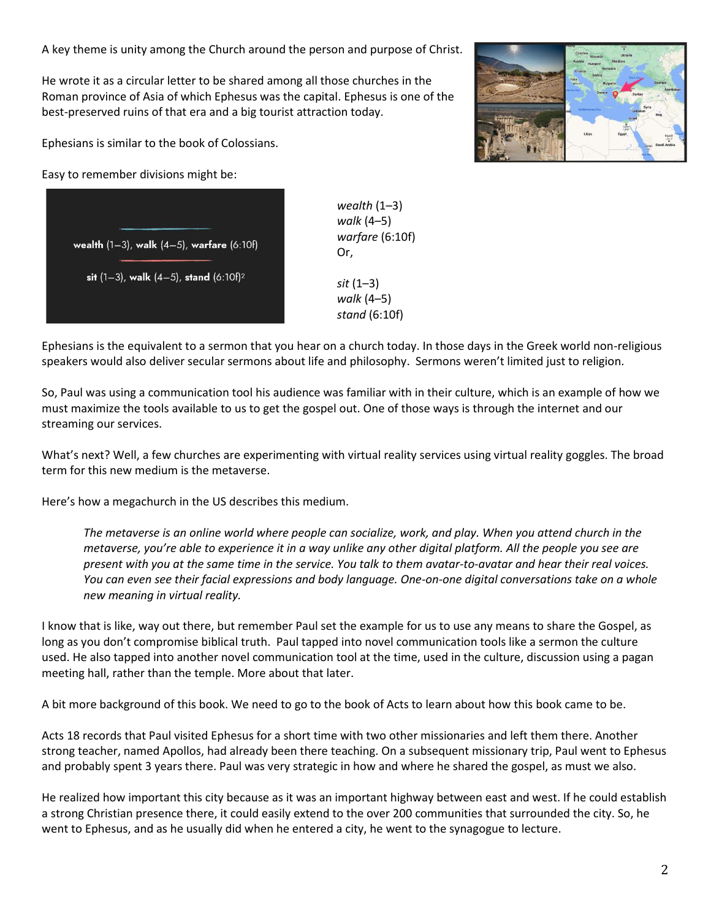A key theme is unity among the Church around the person and purpose of Christ.

He wrote it as a circular letter to be shared among all those churches in the Roman province of Asia of which Ephesus was the capital. Ephesus is one of the best-preserved ruins of that era and a big tourist attraction today.

Ephesians is similar to the book of Colossians.

Easy to remember divisions might be:

wealth  $(1-3)$ , walk  $(4-5)$ , warfare  $(6:10f)$ sit  $(1-3)$ , walk  $(4-5)$ , stand  $(6:10f)^2$ 

*wealth* (1–3) *walk* (4–5) *warfare* (6:10f) Or, *sit* (1–3) *walk* (4–5) *stand* (6:10f)



So, Paul was using a communication tool his audience was familiar with in their culture, which is an example of how we must maximize the tools available to us to get the gospel out. One of those ways is through the internet and our streaming our services.

What's next? Well, a few churches are experimenting with virtual reality services using virtual reality goggles. The broad term for this new medium is the metaverse.

Here's how a megachurch in the US describes this medium.

*The metaverse is an online world where people can socialize, work, and play. When you attend church in the metaverse, you're able to experience it in a way unlike any other digital platform. All the people you see are present with you at the same time in the service. You talk to them avatar-to-avatar and hear their real voices. You can even see their facial expressions and body language. One-on-one digital conversations take on a whole new meaning in virtual reality.*

I know that is like, way out there, but remember Paul set the example for us to use any means to share the Gospel, as long as you don't compromise biblical truth. Paul tapped into novel communication tools like a sermon the culture used. He also tapped into another novel communication tool at the time, used in the culture, discussion using a pagan meeting hall, rather than the temple. More about that later.

A bit more background of this book. We need to go to the book of Acts to learn about how this book came to be.

Acts 18 records that Paul visited Ephesus for a short time with two other missionaries and left them there. Another strong teacher, named Apollos, had already been there teaching. On a subsequent missionary trip, Paul went to Ephesus and probably spent 3 years there. Paul was very strategic in how and where he shared the gospel, as must we also.

He realized how important this city because as it was an important highway between east and west. If he could establish a strong Christian presence there, it could easily extend to the over 200 communities that surrounded the city. So, he went to Ephesus, and as he usually did when he entered a city, he went to the synagogue to lecture.

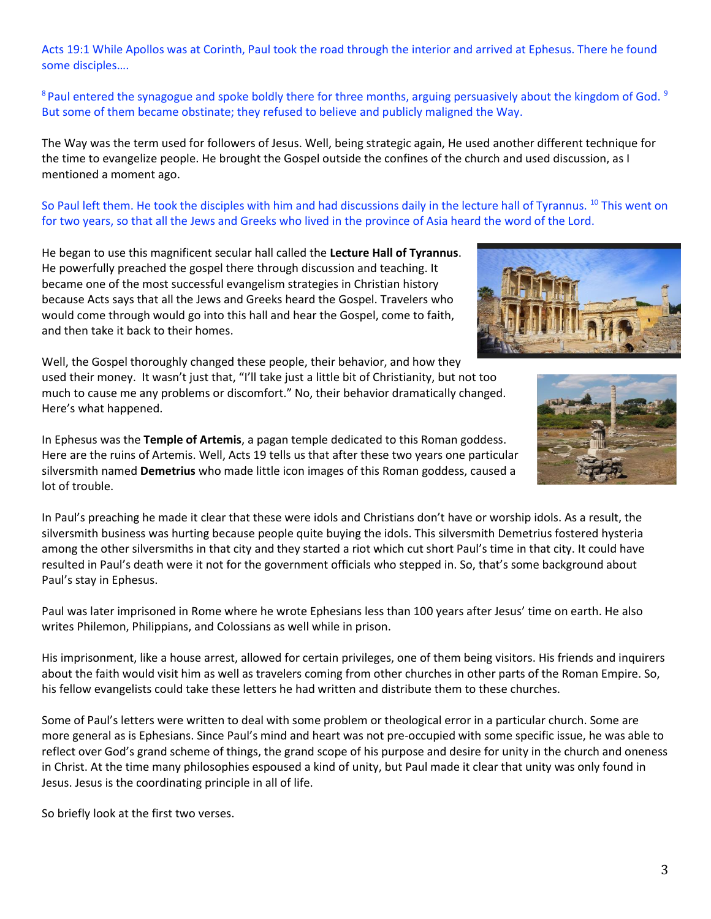Acts 19:1 While Apollos was at Corinth, Paul took the road through the interior and arrived at Ephesus. There he found some disciples….

 $8$  Paul entered the synagogue and spoke boldly there for three months, arguing persuasively about the kingdom of God.  $9$ But some of them became obstinate; they refused to believe and publicly maligned the Way.

The Way was the term used for followers of Jesus. Well, being strategic again, He used another different technique for the time to evangelize people. He brought the Gospel outside the confines of the church and used discussion, as I mentioned a moment ago.

So Paul left them. He took the disciples with him and had discussions daily in the lecture hall of Tyrannus. <sup>10</sup> This went on for two years, so that all the Jews and Greeks who lived in the province of Asia heard the word of the Lord.

He began to use this magnificent secular hall called the **Lecture Hall of Tyrannus**. He powerfully preached the gospel there through discussion and teaching. It became one of the most successful evangelism strategies in Christian history because Acts says that all the Jews and Greeks heard the Gospel. Travelers who would come through would go into this hall and hear the Gospel, come to faith, and then take it back to their homes.

Well, the Gospel thoroughly changed these people, their behavior, and how they used their money. It wasn't just that, "I'll take just a little bit of Christianity, but not too much to cause me any problems or discomfort." No, their behavior dramatically changed. Here's what happened.

In Ephesus was the **Temple of Artemis**, a pagan temple dedicated to this Roman goddess. Here are the ruins of Artemis. Well, Acts 19 tells us that after these two years one particular silversmith named **Demetrius** who made little icon images of this Roman goddess, caused a lot of trouble.

In Paul's preaching he made it clear that these were idols and Christians don't have or worship idols. As a result, the silversmith business was hurting because people quite buying the idols. This silversmith Demetrius fostered hysteria among the other silversmiths in that city and they started a riot which cut short Paul's time in that city. It could have resulted in Paul's death were it not for the government officials who stepped in. So, that's some background about Paul's stay in Ephesus.

Paul was later imprisoned in Rome where he wrote Ephesians less than 100 years after Jesus' time on earth. He also writes Philemon, Philippians, and Colossians as well while in prison.

His imprisonment, like a house arrest, allowed for certain privileges, one of them being visitors. His friends and inquirers about the faith would visit him as well as travelers coming from other churches in other parts of the Roman Empire. So, his fellow evangelists could take these letters he had written and distribute them to these churches.

Some of Paul's letters were written to deal with some problem or theological error in a particular church. Some are more general as is Ephesians. Since Paul's mind and heart was not pre-occupied with some specific issue, he was able to reflect over God's grand scheme of things, the grand scope of his purpose and desire for unity in the church and oneness in Christ. At the time many philosophies espoused a kind of unity, but Paul made it clear that unity was only found in Jesus. Jesus is the coordinating principle in all of life.

So briefly look at the first two verses.



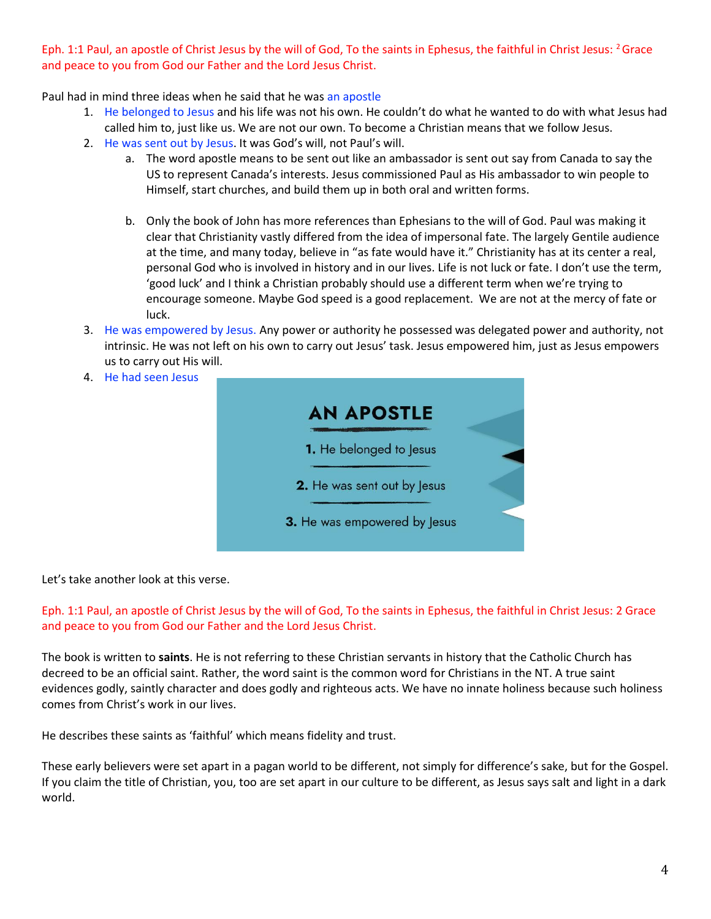Eph. 1:1 Paul, an apostle of Christ Jesus by the will of God, To the saints in Ephesus, the faithful in Christ Jesus: <sup>2</sup> Grace and peace to you from God our Father and the Lord Jesus Christ.

Paul had in mind three ideas when he said that he was an apostle

- 1. He belonged to Jesus and his life was not his own. He couldn't do what he wanted to do with what Jesus had called him to, just like us. We are not our own. To become a Christian means that we follow Jesus.
- 2. He was sent out by Jesus. It was God's will, not Paul's will.
	- a. The word apostle means to be sent out like an ambassador is sent out say from Canada to say the US to represent Canada's interests. Jesus commissioned Paul as His ambassador to win people to Himself, start churches, and build them up in both oral and written forms.
	- b. Only the book of John has more references than Ephesians to the will of God. Paul was making it clear that Christianity vastly differed from the idea of impersonal fate. The largely Gentile audience at the time, and many today, believe in "as fate would have it." Christianity has at its center a real, personal God who is involved in history and in our lives. Life is not luck or fate. I don't use the term, 'good luck' and I think a Christian probably should use a different term when we're trying to encourage someone. Maybe God speed is a good replacement. We are not at the mercy of fate or luck.
- 3. He was empowered by Jesus. Any power or authority he possessed was delegated power and authority, not intrinsic. He was not left on his own to carry out Jesus' task. Jesus empowered him, just as Jesus empowers us to carry out His will.
- 4. He had seen Jesus



Let's take another look at this verse.

Eph. 1:1 Paul, an apostle of Christ Jesus by the will of God, To the saints in Ephesus, the faithful in Christ Jesus: 2 Grace and peace to you from God our Father and the Lord Jesus Christ.

The book is written to **saints**. He is not referring to these Christian servants in history that the Catholic Church has decreed to be an official saint. Rather, the word saint is the common word for Christians in the NT. A true saint evidences godly, saintly character and does godly and righteous acts. We have no innate holiness because such holiness comes from Christ's work in our lives.

He describes these saints as 'faithful' which means fidelity and trust.

These early believers were set apart in a pagan world to be different, not simply for difference's sake, but for the Gospel. If you claim the title of Christian, you, too are set apart in our culture to be different, as Jesus says salt and light in a dark world.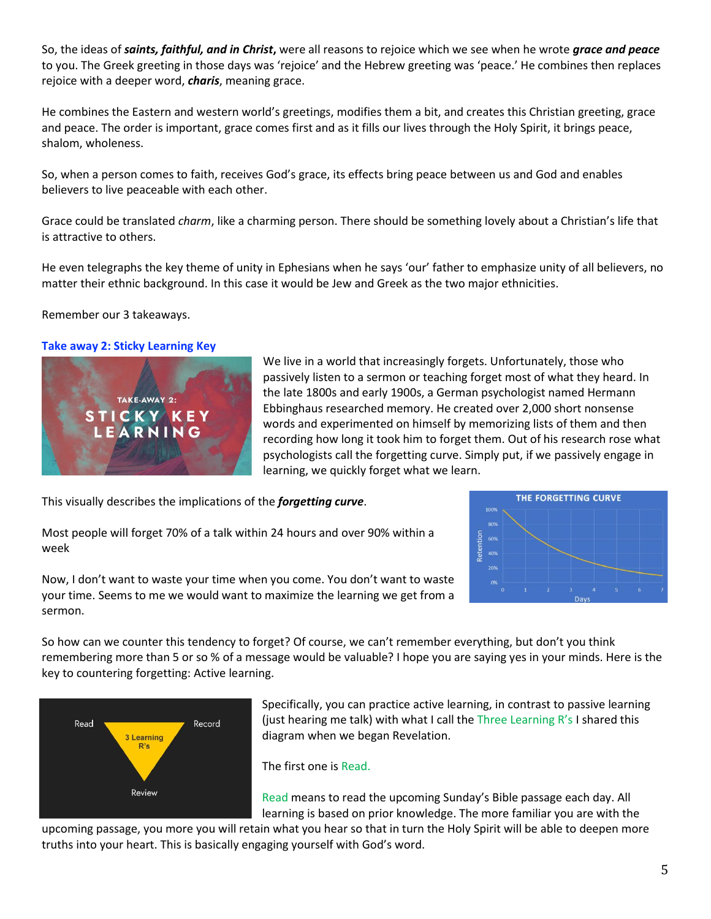So, the ideas of *saints, faithful, and in Christ***,** were all reasons to rejoice which we see when he wrote *grace and peace* to you. The Greek greeting in those days was 'rejoice' and the Hebrew greeting was 'peace.' He combines then replaces rejoice with a deeper word, *charis*, meaning grace.

He combines the Eastern and western world's greetings, modifies them a bit, and creates this Christian greeting, grace and peace. The order is important, grace comes first and as it fills our lives through the Holy Spirit, it brings peace, shalom, wholeness.

So, when a person comes to faith, receives God's grace, its effects bring peace between us and God and enables believers to live peaceable with each other.

Grace could be translated *charm*, like a charming person. There should be something lovely about a Christian's life that is attractive to others.

He even telegraphs the key theme of unity in Ephesians when he says 'our' father to emphasize unity of all believers, no matter their ethnic background. In this case it would be Jew and Greek as the two major ethnicities.

## Remember our 3 takeaways.

### **Take away 2: Sticky Learning Key**



We live in a world that increasingly forgets. Unfortunately, those who passively listen to a sermon or teaching forget most of what they heard. In the late 1800s and early 1900s, a German psychologist named Hermann Ebbinghaus researched memory. He created over 2,000 short nonsense words and experimented on himself by memorizing lists of them and then recording how long it took him to forget them. Out of his research rose what psychologists call the forgetting curve. Simply put, if we passively engage in learning, we quickly forget what we learn.

This visually describes the implications of the *forgetting curve*.

Most people will forget 70% of a talk within 24 hours and over 90% within a week



Now, I don't want to waste your time when you come. You don't want to waste your time. Seems to me we would want to maximize the learning we get from a sermon.

So how can we counter this tendency to forget? Of course, we can't remember everything, but don't you think remembering more than 5 or so % of a message would be valuable? I hope you are saying yes in your minds. Here is the key to countering forgetting: Active learning.



Specifically, you can practice active learning, in contrast to passive learning (just hearing me talk) with what I call the Three Learning R's I shared this diagram when we began Revelation.

The first one is Read.

Read means to read the upcoming Sunday's Bible passage each day. All learning is based on prior knowledge. The more familiar you are with the

upcoming passage, you more you will retain what you hear so that in turn the Holy Spirit will be able to deepen more truths into your heart. This is basically engaging yourself with God's word.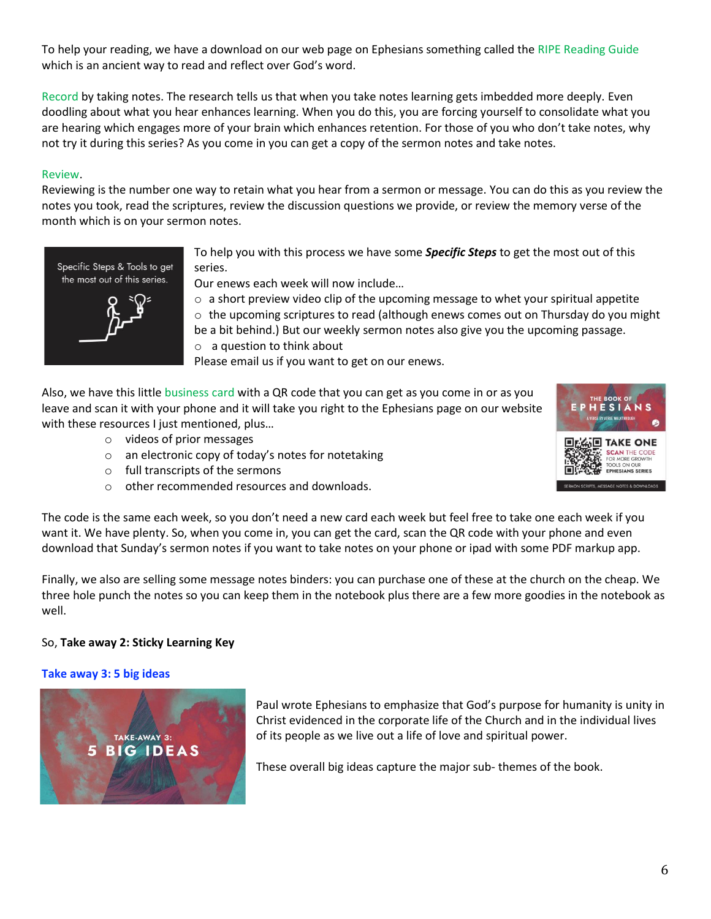To help your reading, we have a download on our web page on Ephesians something called the RIPE Reading Guide which is an ancient way to read and reflect over God's word.

Record by taking notes. The research tells us that when you take notes learning gets imbedded more deeply. Even doodling about what you hear enhances learning. When you do this, you are forcing yourself to consolidate what you are hearing which engages more of your brain which enhances retention. For those of you who don't take notes, why not try it during this series? As you come in you can get a copy of the sermon notes and take notes.

## Review.

Reviewing is the number one way to retain what you hear from a sermon or message. You can do this as you review the notes you took, read the scriptures, review the discussion questions we provide, or review the memory verse of the month which is on your sermon notes.



To help you with this process we have some *Specific Steps* to get the most out of this series.

Our enews each week will now include…

 $\circ$  a short preview video clip of the upcoming message to whet your spiritual appetite  $\circ$  the upcoming scriptures to read (although enews comes out on Thursday do you might be a bit behind.) But our weekly sermon notes also give you the upcoming passage. o a question to think about

Please email us if you want to get on our enews.

Also, we have this little business card with a QR code that you can get as you come in or as you leave and scan it with your phone and it will take you right to the Ephesians page on our website with these resources I just mentioned, plus...

- o videos of prior messages
- o an electronic copy of today's notes for notetaking
- o full transcripts of the sermons
- o other recommended resources and downloads.



The code is the same each week, so you don't need a new card each week but feel free to take one each week if you want it. We have plenty. So, when you come in, you can get the card, scan the QR code with your phone and even download that Sunday's sermon notes if you want to take notes on your phone or ipad with some PDF markup app.

Finally, we also are selling some message notes binders: you can purchase one of these at the church on the cheap. We three hole punch the notes so you can keep them in the notebook plus there are a few more goodies in the notebook as well.

## So, **Take away 2: Sticky Learning Key**

#### **Take away 3: 5 big ideas**



Paul wrote Ephesians to emphasize that God's purpose for humanity is unity in Christ evidenced in the corporate life of the Church and in the individual lives of its people as we live out a life of love and spiritual power.

These overall big ideas capture the major sub- themes of the book.